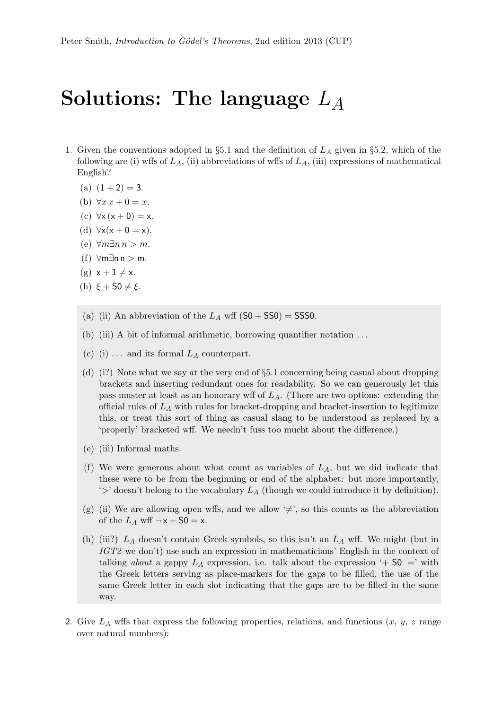## Solutions: The language  $L_A$

- 1. Given the conventions adopted in §5.1 and the definition of  $L_A$  given in §5.2, which of the following are (i) wffs of  $L_A$ , (ii) abbreviations of wffs of  $L_A$ , (iii) expressions of mathematical English?
	- (a)  $(1+2) = 3$ .
	- (b)  $\forall x \, x + 0 = x.$
	- (c)  $\forall x (x+0) = x$ .
	- (d)  $\forall x(x+0=x)$ .
	- (e) ∀m∃n n > m.
	- (f) ∀m∃n n > m.
	- $(g)$   $x + 1 \neq x$ .
	- (h)  $\xi + S0 \neq \xi$ .
	- (a) (ii) An abbreviation of the  $L_A$  wff  $(S0 + S50) = SSS0$ .
	- (b) (iii) A bit of informal arithmetic, borrowing quantifier notation . . .
	- (c) (i) ... and its formal  $L_A$  counterpart.
	- (d) (i?) Note what we say at the very end of §5.1 concerning being casual about dropping brackets and inserting redundant ones for readability. So we can generously let this pass muster at least as an honorary wff of  $L_A$ . (There are two options: extending the official rules of  $L_A$  with rules for bracket-dropping and bracket-insertion to legitimize this, or treat this sort of thing as casual slang to be understood as replaced by a 'properly' bracketed wff. We needn't fuss too mucht about the difference.)
	- (e) (iii) Informal maths.
	- (f) We were generous about what count as variables of  $L_A$ , but we did indicate that these were to be from the beginning or end of the alphabet: but more importantly,  $\rightarrow$ ' doesn't belong to the vocabulary  $L_A$  (though we could introduce it by definition).
	- (g) (ii) We are allowing open wffs, and we allow  $\neq$ , so this counts as the abbreviation of the  $L_A$  wff  $\neg x + 50 = x$ .
	- (h) (iii?)  $L_A$  doesn't contain Greek symbols, so this isn't an  $L_A$  wff. We might (but in IGT2 we don't) use such an expression in mathematicians' English in the context of talking about a gappy  $L_A$  expression, i.e. talk about the expression '+ S0 =' with the Greek letters serving as place-markers for the gaps to be filled, the use of the same Greek letter in each slot indicating that the gaps are to be filled in the same way.
- 2. Give  $L_A$  wffs that express the following properties, relations, and functions  $(x, y, z)$  range over natural numbers):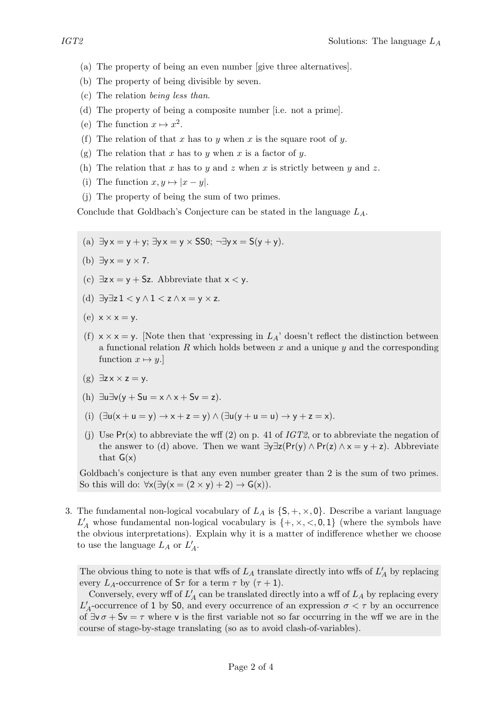- (a) The property of being an even number [give three alternatives].
- (b) The property of being divisible by seven.
- (c) The relation being less than.
- (d) The property of being a composite number [i.e. not a prime].
- (e) The function  $x \mapsto x^2$ .
- (f) The relation of that x has to y when x is the square root of y.
- (g) The relation that x has to y when x is a factor of y.
- (h) The relation that x has to y and z when x is strictly between y and z.
- (i) The function  $x, y \mapsto |x y|$ .
- (j) The property of being the sum of two primes.

Conclude that Goldbach's Conjecture can be stated in the language  $L_A$ .

- (a)  $\exists y \times y = +y$ ;  $\exists y \times y = y \times$  SS0;  $\neg \exists y \times y = S(y + y)$ .
- (b)  $\exists v \times v \times 7$ .
- (c)  $\exists z \times y + Sz$ . Abbreviate that  $x < y$ .
- (d)  $\exists y \exists z 1 < y \wedge 1 < z \wedge x = y \times z$ .
- (e)  $x \times x = y$ .
- (f)  $x \times x = y$ . Note then that 'expressing in  $L_A$ ' doesn't reflect the distinction between a functional relation R which holds between x and a unique y and the corresponding function  $x \mapsto y$ .]
- $(g)$   $\exists z \times \times z = y$ .
- (h)  $\exists u \exists v (y + Su = x \wedge x + Sv = z).$
- (i)  $(\exists u(x + u = y) \rightarrow x + z = y) \land (\exists u(y + u = u) \rightarrow y + z = x).$
- (j) Use  $Pr(x)$  to abbreviate the wff (2) on p. 41 of IGT2, or to abbreviate the negation of the answer to (d) above. Then we want  $\exists y \exists z (Pr(y) \land Pr(z) \land x = y + z)$ . Abbreviate that  $G(x)$

Goldbach's conjecture is that any even number greater than 2 is the sum of two primes. So this will do:  $\forall x(\exists y(x = (2 \times y) + 2) \rightarrow G(x)).$ 

3. The fundamental non-logical vocabulary of  $L_A$  is  $\{S, +, \times, 0\}$ . Describe a variant language  $L'_A$  whose fundamental non-logical vocabulary is  $\{+, \times, <, 0, 1\}$  (where the symbols have the obvious interpretations). Explain why it is a matter of indifference whether we choose to use the language  $L_A$  or  $L'_A$ .

The obvious thing to note is that wffs of  $L_A$  translate directly into wffs of  $L'_A$  by replacing every  $L_A$ -occurrence of  $S_{\tau}$  for a term  $\tau$  by  $(\tau + 1)$ .

Conversely, every wff of  $L'_{\mathcal{A}}$  can be translated directly into a wff of  $L_{\mathcal{A}}$  by replacing every  $L'_A$ -occurrence of 1 by S0, and every occurrence of an expression  $\sigma < \tau$  by an occurrence of  $\exists v \sigma + Sv = \tau$  where v is the first variable not so far occurring in the wff we are in the course of stage-by-stage translating (so as to avoid clash-of-variables).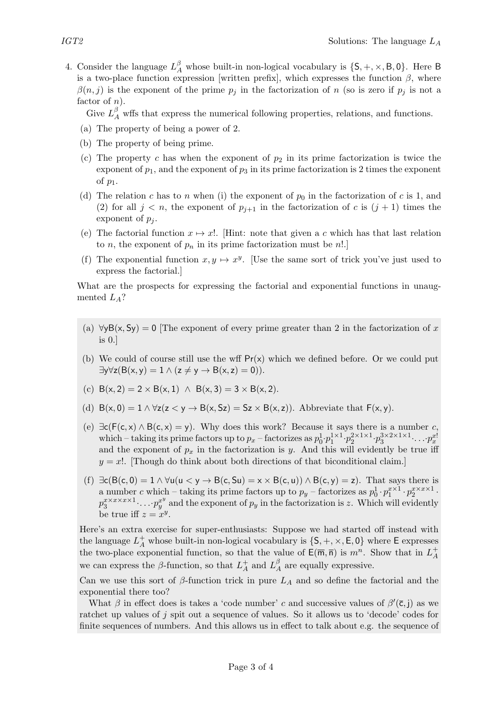4. Consider the language  $L_A^{\beta}$  whose built-in non-logical vocabulary is  $\{S, +, \times, B, 0\}$ . Here B is a two-place function expression [written prefix], which expresses the function  $\beta$ , where  $\beta(n, j)$  is the exponent of the prime  $p_j$  in the factorization of n (so is zero if  $p_j$  is not a factor of  $n$ ).

Give  $L_A^{\beta}$  wffs that express the numerical following properties, relations, and functions.

- (a) The property of being a power of 2.
- (b) The property of being prime.
- (c) The property c has when the exponent of  $p_2$  in its prime factorization is twice the exponent of  $p_1$ , and the exponent of  $p_3$  in its prime factorization is 2 times the exponent of  $p_1$ .
- (d) The relation c has to n when (i) the exponent of  $p_0$  in the factorization of c is 1, and (2) for all  $j < n$ , the exponent of  $p_{j+1}$  in the factorization of c is  $(j+1)$  times the exponent of  $p_i$ .
- (e) The factorial function  $x \mapsto x!$ . [Hint: note that given a c which has that last relation to *n*, the exponent of  $p_n$  in its prime factorization must be *n*!.]
- (f) The exponential function  $x, y \mapsto x^y$ . [Use the same sort of trick you've just used to express the factorial.]

What are the prospects for expressing the factorial and exponential functions in unaugmented  $L_A$ ?

- (a)  $\forall y B(x, Sy) = 0$  [The exponent of every prime greater than 2 in the factorization of x is 0.]
- (b) We could of course still use the wff  $Pr(x)$  which we defined before. Or we could put  $\exists y \forall z (B(x, y) = 1 \land (z \neq y \rightarrow B(x, z) = 0)).$
- (c)  $B(x, 2) = 2 \times B(x, 1) \land B(x, 3) = 3 \times B(x, 2).$
- (d)  $B(x, 0) = 1 \wedge \forall z (z < y \rightarrow B(x, Sz) = Sz \times B(x, z))$ . Abbreviate that  $F(x, y)$ .
- (e)  $\exists c(F(c, x) \land B(c, x) = y)$ . Why does this work? Because it says there is a number c, which – taking its prime factors up to  $p_x$  – factorizes as  $p_0^1 \cdot p_1^{1 \times 1} \cdot p_2^{2 \times 1 \times 1} \cdot p_3^{3 \times 2 \times 1 \times 1} \cdot \ldots \cdot p_x^{x!}$ and the exponent of  $p_x$  in the factorization is y. And this will evidently be true iff  $y = x!$ . Though do think about both directions of that biconditional claim.
- (f)  $\exists c(B(c, 0) = 1 \land \forall u(u < y \rightarrow B(c, Su) = x \times B(c, u)) \land B(c, y) = z)$ . That says there is a number c which – taking its prime factors up to  $p_y$  – factorizes as  $p_0^1 \cdot p_1^{x \times 1} \cdot p_2^{x \times x \times 1}$ .  $p_3^{x \times x \times x \times 1} \cdot \ldots \cdot p_y^{x^y}$  and the exponent of  $p_y$  in the factorization is z. Which will evidently be true iff  $z = x^y$ .

Here's an extra exercise for super-enthusiasts: Suppose we had started off instead with the language  $L_A^+$  whose built-in non-logical vocabulary is  $\{S, +, \times, E, 0\}$  where E expresses the two-place exponential function, so that the value of  $\mathsf{E}(\overline{m}, \overline{n})$  is  $m^n$ . Show that in  $L^+_A$ A we can express the  $\beta$ -function, so that  $L_A^+$  $L_A^+$  and  $L_A^{\beta}$  $A_A^{\beta}$  are equally expressive.

Can we use this sort of  $\beta$ -function trick in pure  $L_A$  and so define the factorial and the exponential there too?

What  $\beta$  in effect does is takes a 'code number' c and successive values of  $\beta'(\bar{c},j)$  as we ratchet up values of j spit out a sequence of values. So it allows us to 'decode' codes for finite sequences of numbers. And this allows us in effect to talk about e.g. the sequence of